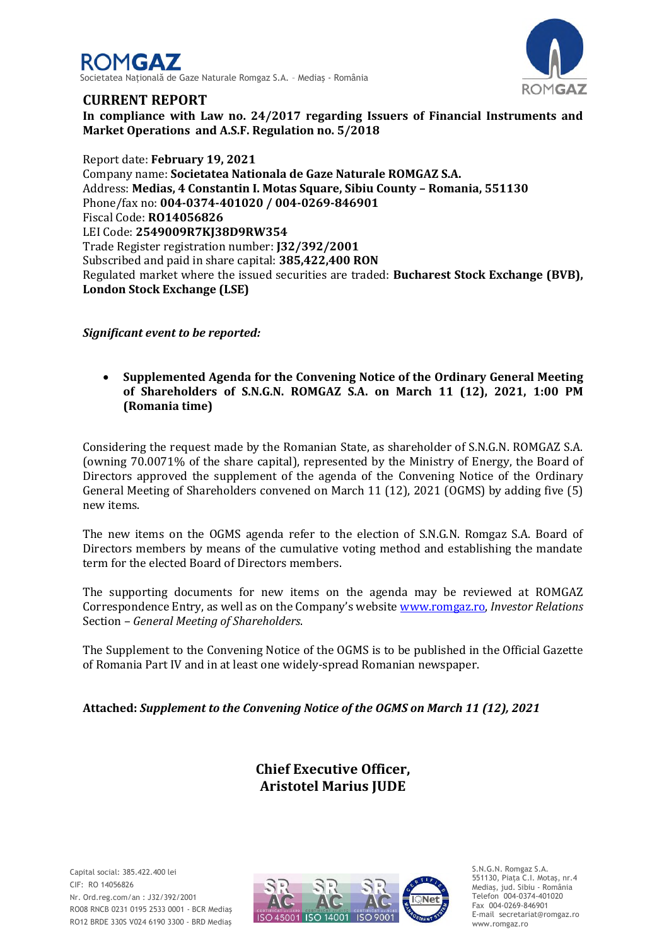



## **CURRENT REPORT**

**In compliance with Law no. 24/2017 regarding Issuers of Financial Instruments and Market Operations and A.S.F. Regulation no. 5/2018**

Report date: **February 19, 2021** Company name: **Societatea Nationala de Gaze Naturale ROMGAZ S.A.** Address: **Medias, 4 Constantin I. Motas Square, Sibiu County – Romania, 551130** Phone/fax no: **004-0374-401020 / 004-0269-846901** Fiscal Code: **RO14056826** LEI Code: **2549009R7KJ38D9RW354** Trade Register registration number: **J32/392/2001** Subscribed and paid in share capital: **385,422,400 RON** Regulated market where the issued securities are traded: **Bucharest Stock Exchange (BVB), London Stock Exchange (LSE)**

*Significant event to be reported:*

 **Supplemented Agenda for the Convening Notice of the Ordinary General Meeting of Shareholders of S.N.G.N. ROMGAZ S.A. on March 11 (12), 2021, 1:00 PM (Romania time)**

Considering the request made by the Romanian State, as shareholder of S.N.G.N. ROMGAZ S.A. (owning 70.0071% of the share capital), represented by the Ministry of Energy, the Board of Directors approved the supplement of the agenda of the Convening Notice of the Ordinary General Meeting of Shareholders convened on March 11 (12), 2021 (OGMS) by adding five (5) new items.

The new items on the OGMS agenda refer to the election of S.N.G.N. Romgaz S.A. Board of Directors members by means of the cumulative voting method and establishing the mandate term for the elected Board of Directors members.

The supporting documents for new items on the agenda may be reviewed at ROMGAZ Correspondence Entry, as well as on the Company's website [www.romgaz.ro,](http://infoweb/sites/sediuweb/SedSrvActionariat/Documente%20Interne/Raport%20curent%20-%20Completare%20Convocator%20AGEA%2015.01.2020/www.romgaz.ro) *Investor Relations*  Section – *General Meeting of Shareholders*.

The Supplement to the Convening Notice of the OGMS is to be published in the Official Gazette of Romania Part IV and in at least one widely-spread Romanian newspaper.

**Attached:** *Supplement to the Convening Notice of the OGMS on March 11 (12), 2021*

**Chief Executive Officer, Aristotel Marius JUDE**



S.N.G.N. Romgaz S.A. 551130, Piața C.I. Motaş, nr.4 Mediaş, jud. Sibiu - România Telefon 004-0374-401020 Fax 004-0269-846901 E-mail secretariat@romgaz.ro www.romgaz.ro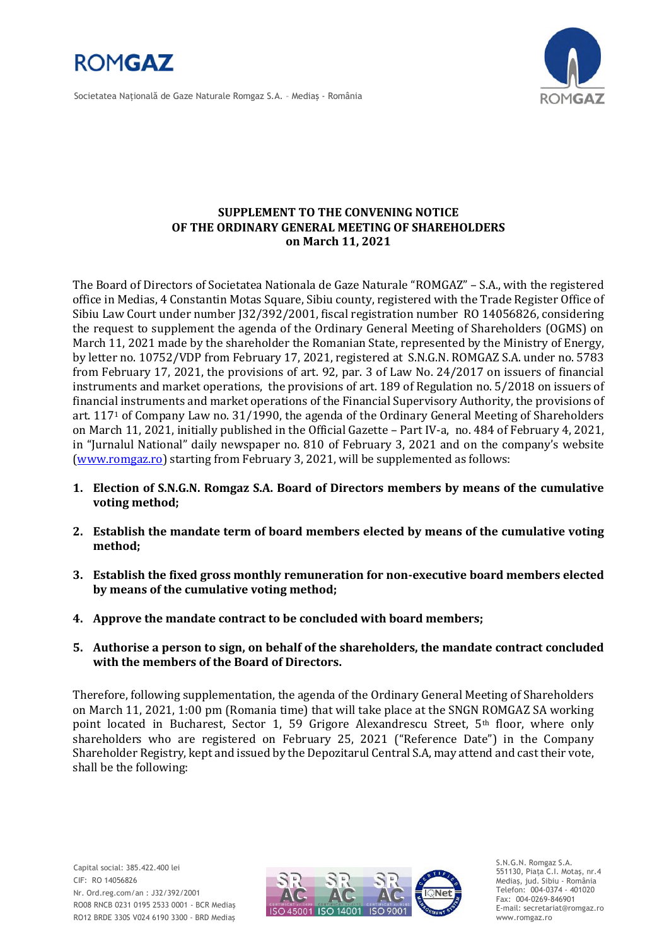

Societatea Naţională de Gaze Naturale Romgaz S.A. – Mediaş - România



## **SUPPLEMENT TO THE CONVENING NOTICE OF THE ORDINARY GENERAL MEETING OF SHAREHOLDERS on March 11, 2021**

The Board of Directors of Societatea Nationala de Gaze Naturale "ROMGAZ" – S.A., with the registered office in Medias, 4 Constantin Motas Square, Sibiu county, registered with the Trade Register Office of Sibiu Law Court under number J32/392/2001, fiscal registration number RO 14056826, considering the request to supplement the agenda of the Ordinary General Meeting of Shareholders (OGMS) on March 11, 2021 made by the shareholder the Romanian State, represented by the Ministry of Energy, by letter no. 10752/VDP from February 17, 2021, registered at S.N.G.N. ROMGAZ S.A. under no. 5783 from February 17, 2021, the provisions of art. 92, par. 3 of Law No. 24/2017 on issuers of financial instruments and market operations, the provisions of art. 189 of Regulation no. 5/2018 on issuers of financial instruments and market operations of the Financial Supervisory Authority, the provisions of art. 117<sup>1</sup> of Company Law no. 31/1990, the agenda of the Ordinary General Meeting of Shareholders on March 11, 2021, initially published in the Official Gazette – Part IV-a, no. 484 of February 4, 2021, in "Jurnalul National" daily newspaper no. 810 of February 3, 2021 and on the company's website [\(www.romgaz.ro\)](http://www.romgaz.ro/) starting from February 3, 2021, will be supplemented as follows:

- **1. Election of S.N.G.N. Romgaz S.A. Board of Directors members by means of the cumulative voting method;**
- **2. Establish the mandate term of board members elected by means of the cumulative voting method;**
- **3. Establish the fixed gross monthly remuneration for non-executive board members elected by means of the cumulative voting method;**
- **4. Approve the mandate contract to be concluded with board members;**
- **5. Authorise a person to sign, on behalf of the shareholders, the mandate contract concluded with the members of the Board of Directors.**

Therefore, following supplementation, the agenda of the Ordinary General Meeting of Shareholders on March 11, 2021, 1:00 pm (Romania time) that will take place at the SNGN ROMGAZ SA working point located in Bucharest, Sector 1, 59 Grigore Alexandrescu Street, 5th floor, where only shareholders who are registered on February 25, 2021 ("Reference Date") in the Company Shareholder Registry, kept and issued by the Depozitarul Central S.A, may attend and cast their vote, shall be the following:



S.N.G.N. Romgaz S.A. 551130, Piața C.I. Motaş, nr.4 Mediaş, jud. Sibiu - România Telefon: 004-0374 - 401020 Fax: 004-0269-846901 E-mail: secretariat@romgaz.ro www.romgaz.ro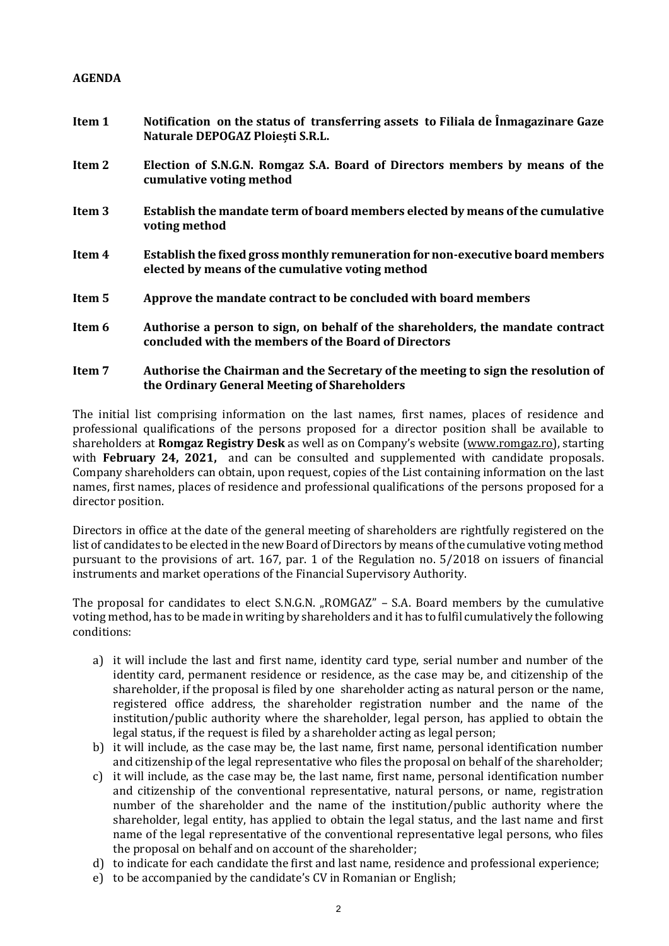## **AGENDA**

- **Item 1 Notification on the status of transferring assets to Filiala de Înmagazinare Gaze Naturale DEPOGAZ Ploiești S.R.L. Item 2 Election of S.N.G.N. Romgaz S.A. Board of Directors members by means of the cumulative voting method Item 3 Establish the mandate term of board members elected by means of the cumulative voting method Item 4 Establish the fixed gross monthly remuneration for non-executive board members elected by means of the cumulative voting method Item 5 Approve the mandate contract to be concluded with board members Item 6 Authorise a person to sign, on behalf of the shareholders, the mandate contract concluded with the members of the Board of Directors**
- **Item 7 Authorise the Chairman and the Secretary of the meeting to sign the resolution of the Ordinary General Meeting of Shareholders**

The initial list comprising information on the last names, first names, places of residence and professional qualifications of the persons proposed for a director position shall be available to shareholders at **Romgaz Registry Desk** as well as on Company's website [\(www.romgaz.ro\)](http://www.romgaz.ro/), starting with **February 24, 2021,** and can be consulted and supplemented with candidate proposals. Company shareholders can obtain, upon request, copies of the List containing information on the last names, first names, places of residence and professional qualifications of the persons proposed for a director position.

Directors in office at the date of the general meeting of shareholders are rightfully registered on the list of candidates to be elected in the new Board of Directors by means of the cumulative voting method pursuant to the provisions of art. 167, par. 1 of the Regulation no. 5/2018 on issuers of financial instruments and market operations of the Financial Supervisory Authority.

The proposal for candidates to elect S.N.G.N. "ROMGAZ" – S.A. Board members by the cumulative voting method, has to be made in writing by shareholders and it has to fulfil cumulatively the following conditions:

- a) it will include the last and first name, identity card type, serial number and number of the identity card, permanent residence or residence, as the case may be, and citizenship of the shareholder, if the proposal is filed by one shareholder acting as natural person or the name, registered office address, the shareholder registration number and the name of the institution/public authority where the shareholder, legal person, has applied to obtain the legal status, if the request is filed by a shareholder acting as legal person;
- b) it will include, as the case may be, the last name, first name, personal identification number and citizenship of the legal representative who files the proposal on behalf of the shareholder;
- c) it will include, as the case may be, the last name, first name, personal identification number and citizenship of the conventional representative, natural persons, or name, registration number of the shareholder and the name of the institution/public authority where the shareholder, legal entity, has applied to obtain the legal status, and the last name and first name of the legal representative of the conventional representative legal persons, who files the proposal on behalf and on account of the shareholder;
- d) to indicate for each candidate the first and last name, residence and professional experience;
- e) to be accompanied by the candidate's CV in Romanian or English;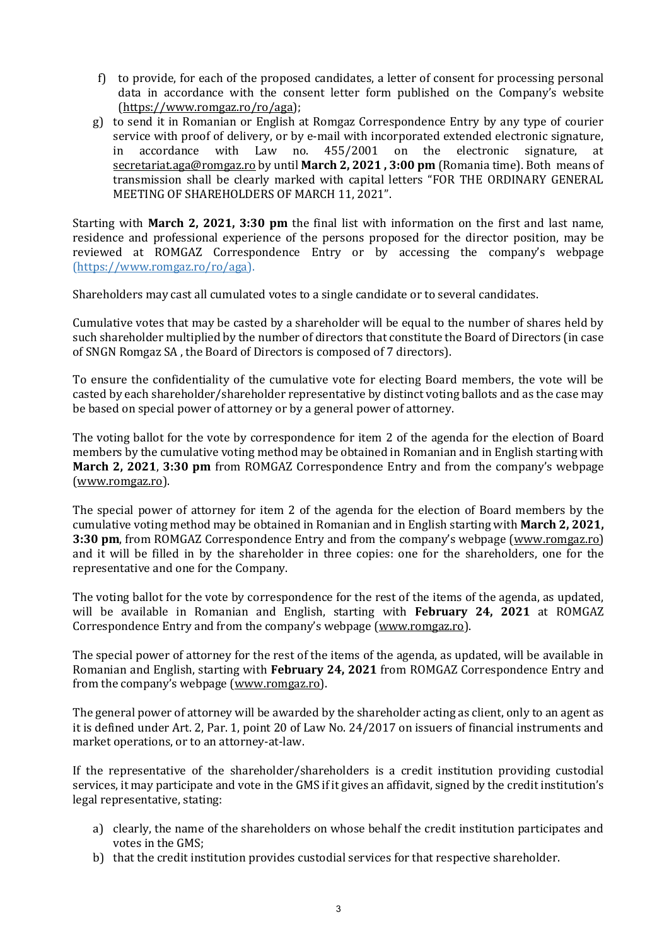- f) to provide, for each of the proposed candidates, a letter of consent for processing personal data in accordance with the consent letter form published on the Company's website [\(https://www.romgaz.ro/ro/aga\)](https://www.romgaz.ro/ro/aga);
- g) to send it in Romanian or English at Romgaz Correspondence Entry by any type of courier service with proof of delivery, or by e-mail with incorporated extended electronic signature, in accordance with Law no. 455/2001 on the electronic signature, at [secretariat.aga@romgaz.ro](mailto:secretariat.aga%40romgaz.ro) by until **March 2, 2021 , 3:00 pm** (Romania time). Both means of transmission shall be clearly marked with capital letters "FOR THE ORDINARY GENERAL MEETING OF SHAREHOLDERS OF MARCH 11, 2021".

Starting with **March 2, 2021, 3:30 pm** the final list with information on the first and last name, residence and professional experience of the persons proposed for the director position, may be reviewed at ROMGAZ Correspondence Entry or by accessing the company's webpage [\(https://www.romgaz.ro/ro/aga\)](https://www.romgaz.ro/ro/aga).

Shareholders may cast all cumulated votes to a single candidate or to several candidates.

Cumulative votes that may be casted by a shareholder will be equal to the number of shares held by such shareholder multiplied by the number of directors that constitute the Board of Directors (in case of SNGN Romgaz SA , the Board of Directors is composed of 7 directors).

To ensure the confidentiality of the cumulative vote for electing Board members, the vote will be casted by each shareholder/shareholder representative by distinct voting ballots and as the case may be based on special power of attorney or by a general power of attorney.

The voting ballot for the vote by correspondence for item 2 of the agenda for the election of Board members by the cumulative voting method may be obtained in Romanian and in English starting with **March 2, 2021**, **3:30 pm** from ROMGAZ Correspondence Entry and from the company's webpage [\(www.romgaz.ro\)](http://www.romgaz.ro/).

The special power of attorney for item 2 of the agenda for the election of Board members by the cumulative voting method may be obtained in Romanian and in English starting with **March 2, 2021, 3:30 pm**, from ROMGAZ Correspondence Entry and from the company's webpage ([www.romgaz.ro\)](http://www.romgaz.ro/) and it will be filled in by the shareholder in three copies: one for the shareholders, one for the representative and one for the Company.

The voting ballot for the vote by correspondence for the rest of the items of the agenda, as updated, will be available in Romanian and English, starting with **February 24, 2021** at ROMGAZ Correspondence Entry and from the company's webpage ([www.romgaz.ro\)](http://www.romgaz.ro/).

The special power of attorney for the rest of the items of the agenda, as updated, will be available in Romanian and English, starting with **February 24, 2021** from ROMGAZ Correspondence Entry and from the company's webpage ([www.romgaz.ro\)](http://www.romgaz.ro/).

The general power of attorney will be awarded by the shareholder acting as client, only to an agent as it is defined under Art. 2, Par. 1, point 20 of Law No. 24/2017 on issuers of financial instruments and market operations, or to an attorney-at-law.

If the representative of the shareholder/shareholders is a credit institution providing custodial services, it may participate and vote in the GMS if it gives an affidavit, signed by the credit institution's legal representative, stating:

- a) clearly, the name of the shareholders on whose behalf the credit institution participates and votes in the GMS;
- b) that the credit institution provides custodial services for that respective shareholder.